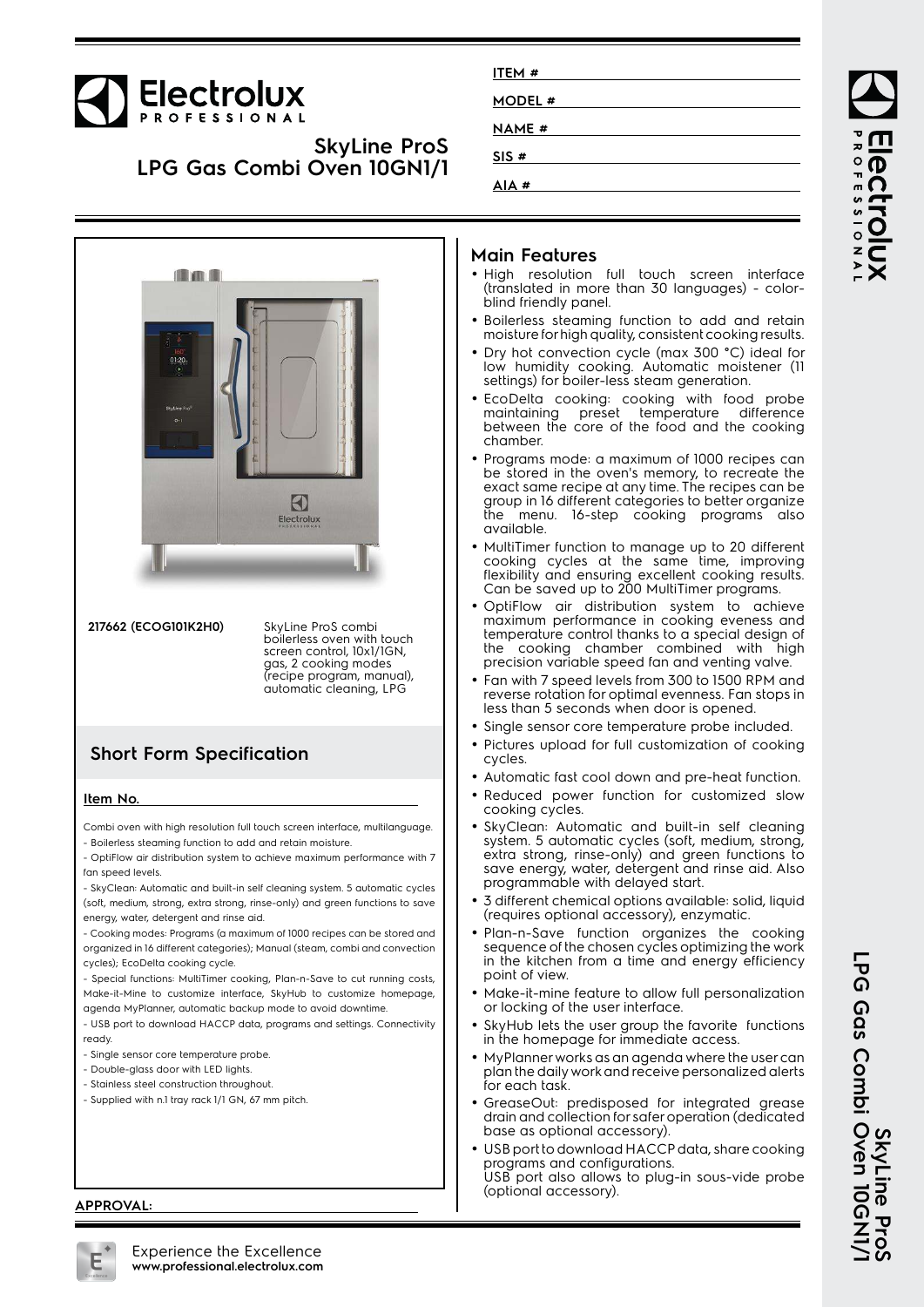# **Electrolux**

**SkyLine ProS LPG Gas Combi Oven 10GN1/1**

|                                     | <b>IDAN A</b> |              |                                                                                                                                                                                                                                                                                                                                                                                                                              |  |
|-------------------------------------|---------------|--------------|------------------------------------------------------------------------------------------------------------------------------------------------------------------------------------------------------------------------------------------------------------------------------------------------------------------------------------------------------------------------------------------------------------------------------|--|
| $\frac{1}{2}$<br>$\frac{160}{0120}$ |               |              | $\frac{1}{\sqrt{2}}\left( \frac{1}{\sqrt{2}}\right) ^{2}=\frac{1}{\sqrt{2}}\left( \frac{1}{\sqrt{2}}\right) ^{2}=\frac{1}{\sqrt{2}}\left( \frac{1}{\sqrt{2}}\right) ^{2}=\frac{1}{\sqrt{2}}\left( \frac{1}{\sqrt{2}}\right) ^{2}=\frac{1}{\sqrt{2}}\left( \frac{1}{\sqrt{2}}\right) ^{2}=\frac{1}{\sqrt{2}}\left( \frac{1}{\sqrt{2}}\right) ^{2}=\frac{1}{\sqrt{2}}\left( \frac{1}{\sqrt{2}}\right) ^{2}=\frac{1}{\sqrt{2}}$ |  |
| SkyLine Pro<br>$0+1$                |               |              | Ï                                                                                                                                                                                                                                                                                                                                                                                                                            |  |
|                                     |               |              |                                                                                                                                                                                                                                                                                                                                                                                                                              |  |
|                                     |               | $\mathbf{E}$ |                                                                                                                                                                                                                                                                                                                                                                                                                              |  |
|                                     |               | Electrolux   |                                                                                                                                                                                                                                                                                                                                                                                                                              |  |

**217662 (ECOG101K2H0)** SkyLine ProS combi boilerless oven with touch screen control, 10x1/1GN, gas, 2 cooking modes (recipe program, manual), automatic cleaning, LPG

### **Short Form Specification**

#### **Item No.**

Combi oven with high resolution full touch screen interface, multilanguage. - Boilerless steaming function to add and retain moisture.

- OptiFlow air distribution system to achieve maximum performance with 7 fan speed levels.

- SkyClean: Automatic and built-in self cleaning system. 5 automatic cycles (soft, medium, strong, extra strong, rinse-only) and green functions to save energy, water, detergent and rinse aid.

- Cooking modes: Programs (a maximum of 1000 recipes can be stored and organized in 16 different categories); Manual (steam, combi and convection cycles); EcoDelta cooking cycle.

- Special functions: MultiTimer cooking, Plan-n-Save to cut running costs, Make-it-Mine to customize interface, SkyHub to customize homepage, agenda MyPlanner, automatic backup mode to avoid downtime.

- USB port to download HACCP data, programs and settings. Connectivity ready.

- Single sensor core temperature probe.
- Double-glass door with LED lights.
- Stainless steel construction throughout.
- Supplied with n.1 tray rack 1/1 GN, 67 mm pitch.

#### **Main Features**

**ITEM # MODEL # NAME # SIS # AIA #**

- High resolution full touch screen interface (translated in more than 30 languages) - colorblind friendly panel.
- Boilerless steaming function to add and retain moisture for high quality, consistent cooking results.
- • Dry hot convection cycle (max 300 °C) ideal for low humidity cooking. Automatic moistener (11 settings) for boiler-less steam generation.
- EcoDelta cooking: cooking with food probe maintaining preset temperature difference between the core of the food and the cooking chamber.
- Programs mode: a maximum of 1000 recipes can be stored in the oven's memory, to recreate the exact same recipe at any time. The recipes can be group in 16 different categories to better organize the menu. 16-step cooking programs also available.
- MultiTimer function to manage up to 20 different cooking cycles at the same time, improving flexibility and ensuring excellent cooking results. Can be saved up to 200 MultiTimer programs.
- OptiFlow air distribution system to achieve maximum performance in cooking eveness and temperature control thanks to a special design of the cooking chamber combined with high precision variable speed fan and venting valve.
- Fan with 7 speed levels from 300 to 1500 RPM and reverse rotation for optimal evenness. Fan stops in less than 5 seconds when door is opened.
- Single sensor core temperature probe included.
- • Pictures upload for full customization of cooking cycles.
- Automatic fast cool down and pre-heat function.
- Reduced power function for customized slow cooking cycles.
- • SkyClean: Automatic and built-in self cleaning system. 5 automatic cycles (soft, medium, strong, extra strong, rinse-only) and green functions to save energy, water, detergent and rinse aid. Also programmable with delayed start.
- • 3 different chemical options available: solid, liquid (requires optional accessory), enzymatic.
- Plan-n-Save function organizes the cooking sequence of the chosen cycles optimizing the work in the kitchen from a time and energy efficiency point of view.
- Make-it-mine feature to allow full personalization or locking of the user interface.
- • SkyHub lets the user group the favorite functions in the homepage for immediate access.
- • MyPlanner works as an agenda where the user can plan the daily work and receive personalized alerts for each task.
- GreaseOut: predisposed for integrated grease drain and collection for safer operation (dedicated base as optional accessory).
- • USB port to download HACCP data, share cooking programs and configurations. USB port also allows to plug-in sous-vide probe (optional accessory).

**APPROVAL:**



LPG Gas Combi Oven 10GNI,<br>LPG Gas Combi Oven 10GNI, **LPG Gas Combi Oven 10GN1/1 SkyLine ProS**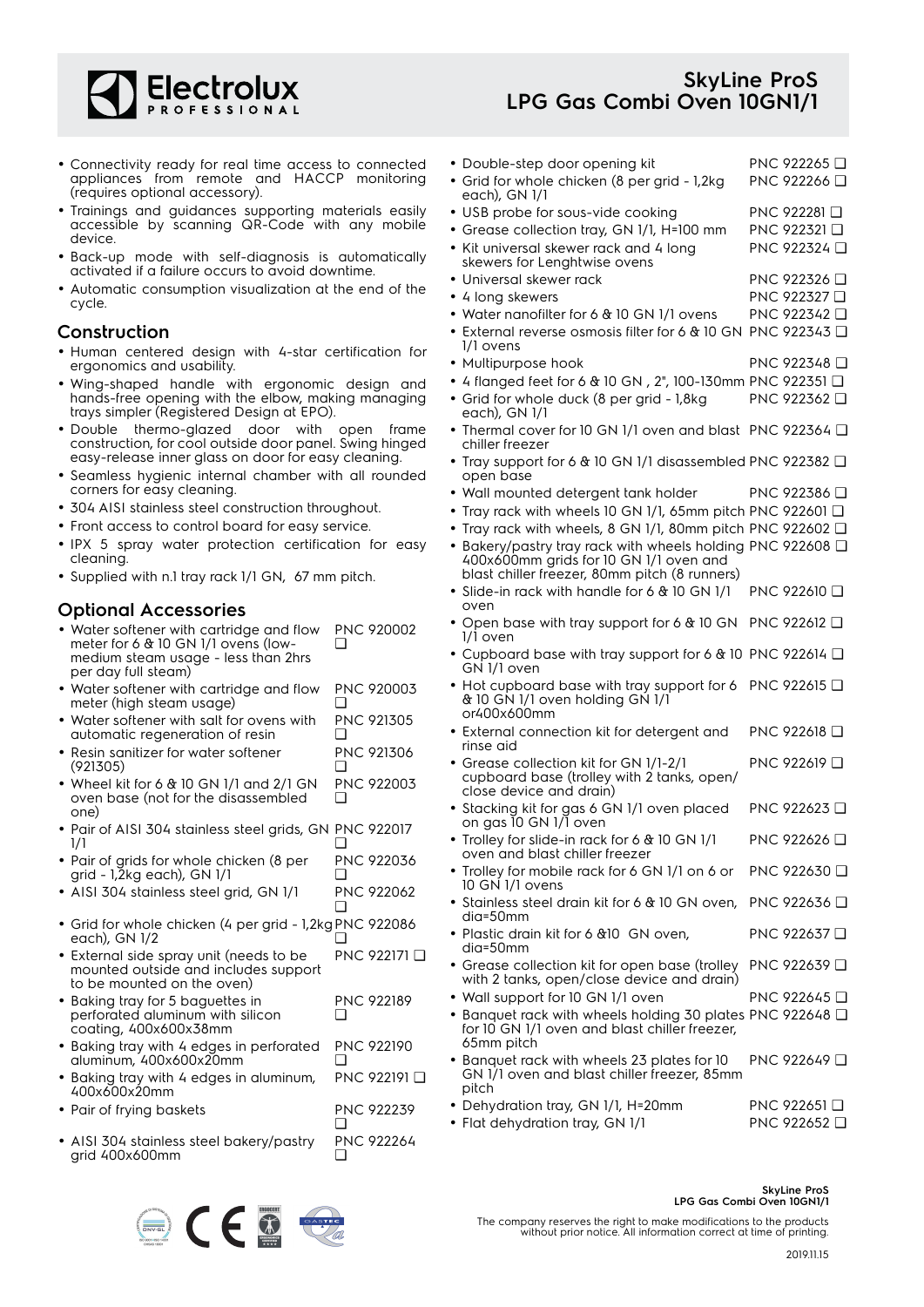

### **SkyLine ProS LPG Gas Combi Oven 10GN1/1**

- Connectivity ready for real time access to connected appliances from remote and HACCP monitoring (requires optional accessory).
- Trainings and guidances supporting materials easily accessible by scanning QR-Code with any mobile device.
- Back-up mode with self-diagnosis is automatically activated if a failure occurs to avoid downtime.
- Automatic consumption visualization at the end of the cycle.

#### **Construction**

- Human centered design with 4-star certification for ergonomics and usability.
- Wing-shaped handle with ergonomic design and hands-free opening with the elbow, making managing trays simpler (Registered Design at EPO).
- Double thermo-glazed door with open frame construction, for cool outside door panel. Swing hinged easy-release inner glass on door for easy cleaning.
- Seamless hygienic internal chamber with all rounded corners for easy cleaning.
- 304 AISI stainless steel construction throughout.
- Front access to control board for easy service.
- IPX 5 spray water protection certification for easy cleaning.
- Supplied with n.1 tray rack 1/1 GN, 67 mm pitch.

#### **Optional Accessories**

| • Water softener with cartridge and flow | <b>PNC 920002</b> |
|------------------------------------------|-------------------|
| meter for 6 & 10 GN 1/1 ovens (low-      |                   |
| medium steam usage - less than 2hrs      |                   |
| per day full steam)                      |                   |

- Water softener with cartridge and flow meter (high steam usage) PNC 920003  $\Box$
- Water softener with salt for ovens with automatic regeneration of resin PNC 921305 ❑
- • Resin sanitizer for water softener (921305) PNC 921306 ❑
- Wheel kit for 6 & 10 GN 1/1 and 2/1 GN oven base (not for the disassembled one) PNC 922003  $\Box$
- Pair of AISI 304 stainless steel grids, GN PNC 922017 1/1  $\Box$
- Pair of grids for whole chicken (8 per grid - 1,2kg each), GN 1/1 PNC 922036 ❑
- AISI 304 stainless steel grid, GN 1/1 PNC 922062  $\Box$
- Grid for whole chicken (4 per grid 1,2kg PNC 922086 each), GN 1/2 ❑
- External side spray unit (needs to be mounted outside and includes support to be mounted on the oven) PNC 922171 ❑
- Baking tray for 5 baguettes in perforated aluminum with silicon coating, 400x600x38mm PNC 922189  $\Box$
- Baking tray with 4 edges in perforated aluminum, 400x600x20mm PNC 922190 ❑
- Baking tray with 4 edges in aluminum, 400x600x20mm PNC 922191 ❑ • Pair of frying baskets PNC 922239
- ❑ • AISI 304 stainless steel bakery/pastry grid 400x600mm PNC 922264 ❑



| • Double-step door opening kit                                                                                                                        | PNC 922265 □            |
|-------------------------------------------------------------------------------------------------------------------------------------------------------|-------------------------|
| · Grid for whole chicken (8 per grid - 1,2kg<br>each), GN 1/1                                                                                         | PNC 922266 □            |
| • USB probe for sous-vide cooking                                                                                                                     | PNC 922281 Q            |
| • Grease collection tray, GN 1/1, H=100 mm                                                                                                            | PNC 922321 □            |
| • Kit universal skewer rack and 4 long<br>skewers for Lenghtwise ovens                                                                                | PNC 922324 Q            |
| • Universal skewer rack                                                                                                                               | PNC 922326 □            |
| • 4 long skewers                                                                                                                                      | PNC 922327 □            |
| • Water nanofilter for 6 & 10 GN 1/1 ovens                                                                                                            | PNC 922342 □            |
| ● External reverse osmosis filter for 6 & 10 GN PNC 922343 Q<br>1/1 ovens                                                                             |                         |
| • Multipurpose hook                                                                                                                                   | PNC 922348 D            |
| • 4 flanged feet for 6 & 10 GN, 2", 100-130mm PNC 922351 □                                                                                            |                         |
| · Grid for whole duck (8 per grid - 1,8kg<br>each), GN 1/1                                                                                            | PNC 922362 □            |
| • Thermal cover for 10 GN 1/1 oven and blast PNC 922364 Q<br>chiller freezer                                                                          |                         |
| • Tray support for 6 & 10 GN 1/1 disassembled PNC 922382 □<br>open base                                                                               |                         |
| · Wall mounted detergent tank holder                                                                                                                  | PNC 922386 <del>□</del> |
| • Tray rack with wheels 10 GN 1/1, 65mm pitch PNC 922601 $\Box$                                                                                       |                         |
| • Tray rack with wheels, 8 GN 1/1, 80mm pitch PNC 922602 Q                                                                                            |                         |
| • Bakery/pastry tray rack with wheels holding PNC 922608 Q<br>400x600mm grids for 10 GN 1/1 oven and<br>blast chiller freezer, 80mm pitch (8 runners) |                         |
| · Slide-in rack with handle for 6 & 10 GN 1/1<br>oven                                                                                                 | PNC 922610 <b>□</b>     |
| • Open base with tray support for 6 & 10 GN<br>1/1 oven                                                                                               | PNC 922612 <b>□</b>     |
| • Cupboard base with tray support for 6 & 10 PNC 922614 Q<br>GN 1/1 oven                                                                              |                         |
| • Hot cupboard base with tray support for 6<br>& 10 GN 1/1 oven holding GN 1/1<br>or400x600mm                                                         | PNC 922615 <b>□</b>     |
| • External connection kit for detergent and<br>rinse aid                                                                                              | PNC 922618 <b>□</b>     |
| · Grease collection kit for GN 1/1-2/1<br>cupboard base (trolley with 2 tanks, open/<br>close device and drain)                                       | PNC 922619 Q            |
| • Stacking kit for gas 6 GN 1/1 oven placed<br>on gas 10 GN 1/1 oven                                                                                  | PNC 922623 <b>□</b>     |
| • Trolley for slide-in rack for 6 & 10 GN 1/1<br>oven and blast chiller freezer                                                                       | PNC 922626 <b>□</b>     |
| • Trolley for mobile rack for 6 GN 1/1 on 6 or<br>10 GN 1/1 ovens                                                                                     | PNC 922630 <b>□</b>     |
| • Stainless steel drain kit for 6 & 10 GN oven,<br>dia=50mm                                                                                           | PNC 922636 Q            |
| • Plastic drain kit for 6 & 10 GN oven,<br>dia=50mm                                                                                                   | PNC 922637 Q            |
| • Grease collection kit for open base (trolley<br>with 2 tanks, open/close device and drain)                                                          | PNC 922639 □            |
| . Wall support for 10 GN 1/1 oven                                                                                                                     | PNC 922645 <del>□</del> |
| • Banquet rack with wheels holding 30 plates PNC 922648 $\Box$<br>for 10 GN 1/1 oven and blast chiller freezer,<br>65mm pitch                         |                         |
| · Banquet rack with wheels 23 plates for 10<br>GN 1/1 oven and blast chiller freezer, 85mm<br>pitch                                                   | PNC 922649 □            |
| • Dehydration tray, GN 1/1, H=20mm                                                                                                                    | PNC 922651 ❑            |
| · Flat dehydration tray, GN 1/1                                                                                                                       | PNC 922652 ❑            |

#### **SkyLine ProS LPG Gas Combi Oven 10GN1/1**

The company reserves the right to make modifications to the products without prior notice. All information correct at time of printing.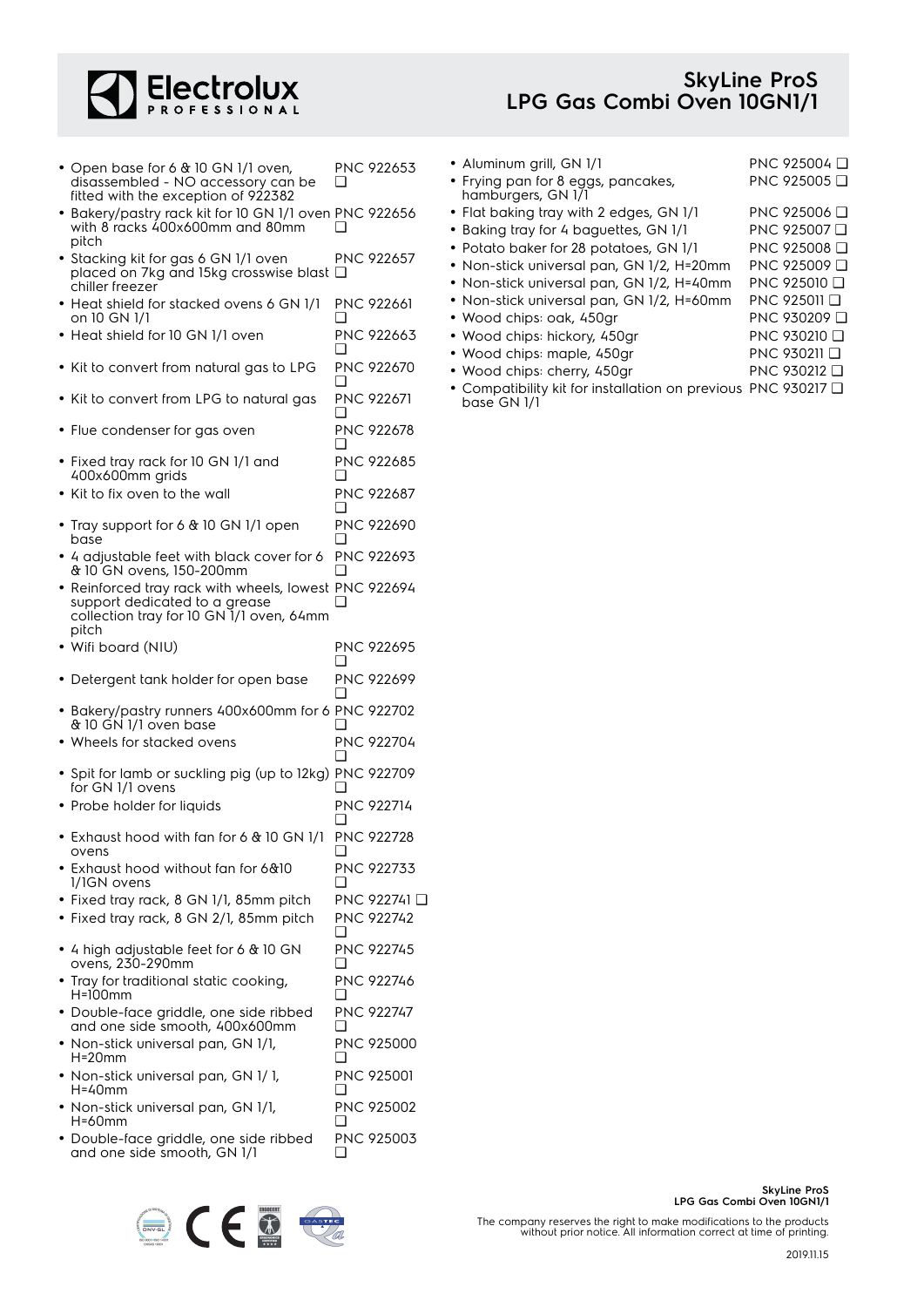

|  |                            | <b>SkyLine ProS</b> |  |
|--|----------------------------|---------------------|--|
|  | LPG Gas Combi Oven 10GN1/1 |                     |  |

| Open base for 6 & 10 GN 1/1 oven,<br>disassembled - NO accessory can be<br>fitted with the exception of 922382                     | ப      | <b>PNC 922653</b>                 |
|------------------------------------------------------------------------------------------------------------------------------------|--------|-----------------------------------|
| Bakery/pastry rack kit for 10 GN 1/1 oven PNC 922656<br>with 8 racks 400x600mm and 80mm<br>pitch                                   |        |                                   |
| • Stacking kit for gas 6 GN 1/1 oven<br>placed on 7kg and 15kg crosswise blast $\square$<br>chiller freezer                        |        | PNC 922657                        |
| • Heat shield for stacked ovens 6 GN 1/1<br>on 10 GN 1/1                                                                           |        | PNC 922661                        |
| • Heat shield for 10 GN 1/1 oven                                                                                                   | ❏      | <b>PNC 922663</b>                 |
| $\bullet\,$ Kit to convert from natural gas to LPG                                                                                 | ❏      | PNC 922670                        |
| Kit to convert from LPG to natural gas                                                                                             | ❏      | PNC 922671                        |
| • Flue condenser for gas oven                                                                                                      | ∣ 1    | PNC 922678                        |
| • Fixed tray rack for 10 GN 1/1 and<br>400x600mm grids                                                                             | ∣ 1    | PNC 922685                        |
| • Kit to fix oven to the wall                                                                                                      | ❏      | PNC 922687                        |
| • Tray support for 6 & 10 GN 1/1 open<br>base                                                                                      |        | <b>PNC 922690</b>                 |
| • 4 adjustable feet with black cover for 6<br>& 10 GN ovens, 150-200mm                                                             | □      | PNC 922693                        |
| · Reinforced tray rack with wheels, lowest PNC 922694<br>support dedicated to a grease<br>collection tray for 10 GN 1/1 oven, 64mm |        |                                   |
| pitch<br>· Wifi board (NIU)                                                                                                        |        | PNC 922695                        |
| · Detergent tank holder for open base                                                                                              | ❏<br>❏ | PNC 922699                        |
| • Bakery/pastry runners 400x600mm for 6 PNC 922702<br>& 10 GN 1/1 oven base                                                        |        |                                   |
| $\bullet\,$ Wheels for stacked ovens                                                                                               | ∩      | PNC 922704                        |
| • Spit for lamb or suckling pig (up to 12kg) PNC 922709<br>for GN 1/1 ovens                                                        | ❏      |                                   |
| • Probe holder for liquids                                                                                                         | ∣ 1    | <b>PNC 922714</b>                 |
| $\bullet$ Exhaust hood with fan for 6 & 10 GN 1/1<br>ovens                                                                         | ∣ 1    | PNC 922728                        |
| • Exhaust hood without fan for 6&10<br>1/1GN ovens                                                                                 | H      | PNC 922733                        |
| • Fixed tray rack, 8 GN 1/1, 85mm pitch<br>• Fixed tray rack, 8 GN 2/1, 85mm pitch                                                 | ❏      | PNC 922741 Q<br><b>PNC 922742</b> |
| • 4 high adjustable feet for 6 & 10 GN<br>ovens, 230-290mm                                                                         | ❏      | <b>PNC 922745</b>                 |
| • Tray for traditional static cooking,<br>H=100mm                                                                                  | ப      | PNC 922746                        |
| · Double-face griddle, one side ribbed<br>and one side smooth, 400x600mm                                                           | ❏      | PNC 922747                        |
| • Non-stick universal pan, GN 1/1,<br>H=20mm                                                                                       | ப      | PNC 925000                        |
| • Non-stick universal pan, GN 1/1,<br>H=40mm                                                                                       | ப      | PNC 925001                        |
| • Non-stick universal pan, GN 1/1,<br>H=60mm                                                                                       | ❏      | PNC 925002                        |
| · Double-face griddle, one side ribbed<br>and one side smooth, GN 1/1                                                              | ப      | PNC 925003                        |

| PNC 925004 D        |
|---------------------|
| PNC 925005 Q        |
| PNC 925006 <b>□</b> |
| PNC 925007 D        |
| PNC 925008 Q        |
| PNC 925009 D        |
| PNC 925010 Q        |
| PNC 925011 D        |
| PNC 930209 Q        |
| PNC 930210 Q        |
| PNC 930211 □        |
| PNC 930212 Q        |
|                     |

• Compatibility kit for installation on previous base GN 1/1 PNC 930217 ❑